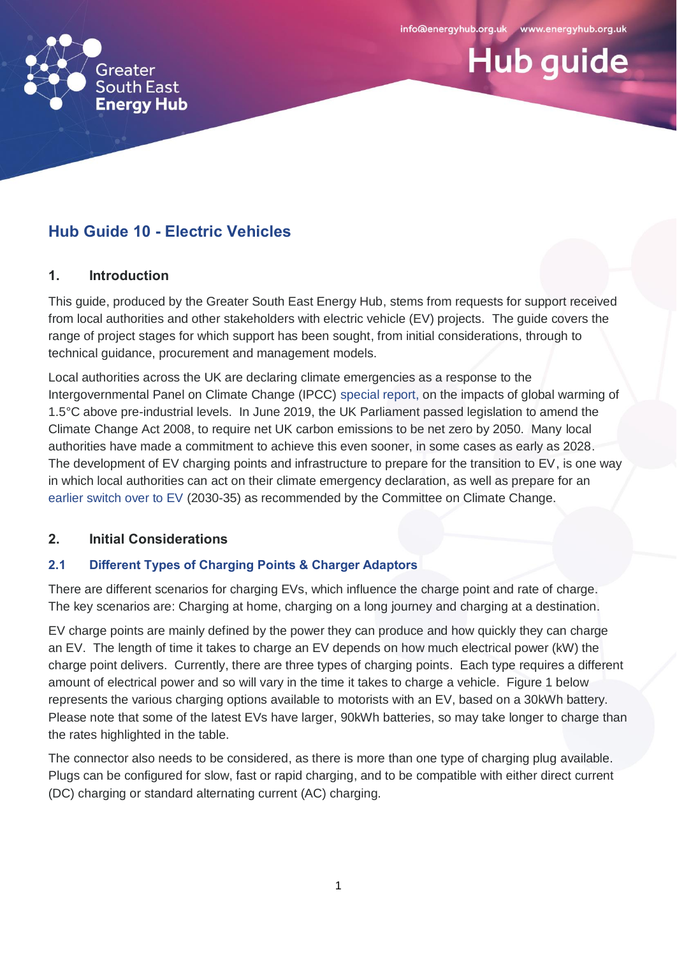



# **Hub Guide 10 - Electric Vehicles**

## **1. Introduction**

This guide, produced by the Greater South East Energy Hub, stems from requests for support received from local authorities and other stakeholders with electric vehicle (EV) projects. The guide covers the range of project stages for which support has been sought, from initial considerations, through to technical guidance, procurement and management models.

Local authorities across the UK are declaring climate emergencies as a response to the Intergovernmental Panel on Climate Change (IPCC) [special report,](https://www.ipcc.ch/report/srccl/) on the impacts of global warming of 1.5°C above pre-industrial levels. In June 2019, the UK Parliament passed legislation to amend the Climate Change Act 2008, to require net UK carbon emissions to be net zero by 2050. Many local authorities have made a commitment to achieve this even sooner, in some cases as early as 2028. The development of EV charging points and infrastructure to prepare for the transition to EV, is one way in which local authorities can act on their climate emergency declaration, as well as prepare for an [earlier switch over to EV](https://www.theccc.org.uk/wp-content/uploads/2019/05/Net-Zero-Chris-Stark-Presentation.pdf) (2030-35) as recommended by the Committee on Climate Change.

# **2. Initial Considerations**

# **2.1 Different Types of Charging Points & Charger Adaptors**

There are different scenarios for charging EVs, which influence the charge point and rate of charge. The key scenarios are: Charging at home, charging on a long journey and charging at a destination.

EV charge points are mainly defined by the power they can produce and how quickly they can charge an EV. The length of time it takes to charge an EV depends on how much electrical power (kW) the charge point delivers. Currently, there are three types of charging points. Each type requires a different amount of electrical power and so will vary in the time it takes to charge a vehicle. Figure 1 below represents the various charging options available to motorists with an EV, based on a 30kWh battery. Please note that some of the latest EVs have larger, 90kWh batteries, so may take longer to charge than the rates highlighted in the table.

The connector also needs to be considered, as there is more than one type of charging plug available. Plugs can be configured for slow, fast or rapid charging, and to be compatible with either direct current (DC) charging or standard alternating current (AC) charging.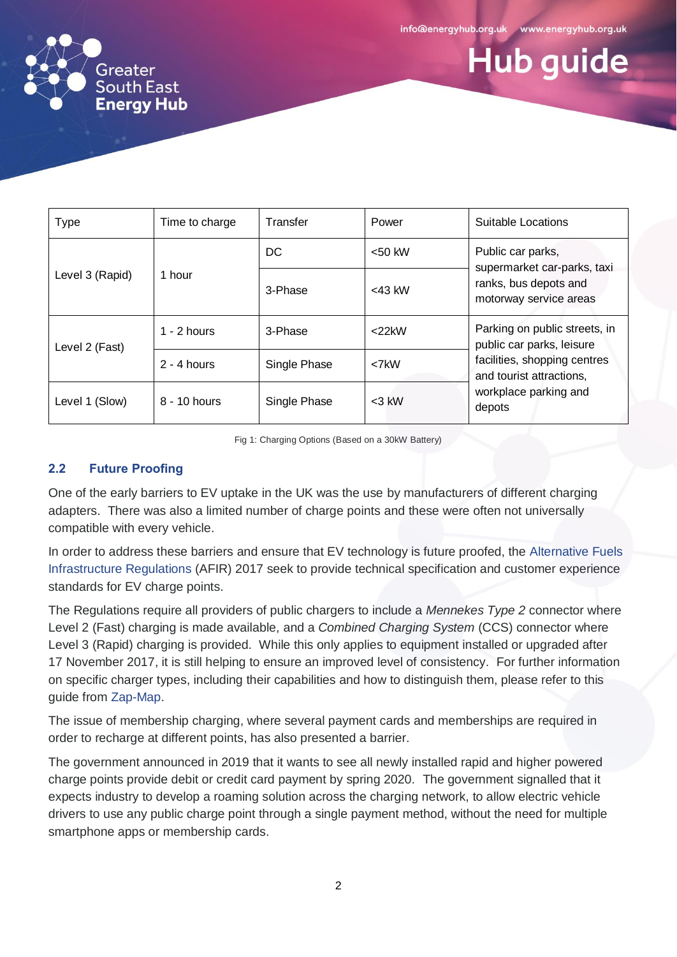



| <b>Type</b>     | Time to charge | Transfer     | Power       | Suitable Locations                                                                                                                                        |
|-----------------|----------------|--------------|-------------|-----------------------------------------------------------------------------------------------------------------------------------------------------------|
| Level 3 (Rapid) | 1 hour         | DC.          | $< 50$ kW   | Public car parks,<br>supermarket car-parks, taxi<br>ranks, bus depots and<br>motorway service areas                                                       |
|                 |                | 3-Phase      | $<$ 43 kW   |                                                                                                                                                           |
| Level 2 (Fast)  | $1 - 2$ hours  | 3-Phase      | $<$ 22 $kW$ | Parking on public streets, in<br>public car parks, leisure<br>facilities, shopping centres<br>and tourist attractions,<br>workplace parking and<br>depots |
|                 | $2 - 4$ hours  | Single Phase | $<$ 7 $k$ W |                                                                                                                                                           |
| Level 1 (Slow)  | 8 - 10 hours   | Single Phase | $<$ 3 kW    |                                                                                                                                                           |

Fig 1: Charging Options (Based on a 30kW Battery)

#### **2.2 Future Proofing**

One of the early barriers to EV uptake in the UK was the use by manufacturers of different charging adapters. There was also a limited number of charge points and these were often not universally compatible with every vehicle.

In order to address these barriers and ensure that EV technology is future proofed, the [Alternative Fuels](http://www.legislation.gov.uk/uksi/2017/897/pdfs/uksiem_20170897_en.pdf)  [Infrastructure Regulations](http://www.legislation.gov.uk/uksi/2017/897/pdfs/uksiem_20170897_en.pdf) (AFIR) 2017 seek to provide technical specification and customer experience standards for EV charge points.

The Regulations require all providers of public chargers to include a *Mennekes Type 2* connector where Level 2 (Fast) charging is made available, and a *Combined Charging System* (CCS) connector where Level 3 (Rapid) charging is provided. While this only applies to equipment installed or upgraded after 17 November 2017, it is still helping to ensure an improved level of consistency. For further information on specific charger types, including their capabilities and how to distinguish them, please refer to this guide from [Zap-Map.](https://www.zap-map.com/charge-points/connectors-speeds/)

The issue of membership charging, where several payment cards and memberships are required in order to recharge at different points, has also presented a barrier.

The government announced in 2019 that it wants to see all newly installed rapid and higher powered charge points provide debit or credit card payment by spring 2020. The government signalled that it expects industry to develop a roaming solution across the charging network, to allow electric vehicle drivers to use any public charge point through a single payment method, without the need for multiple smartphone apps or membership cards.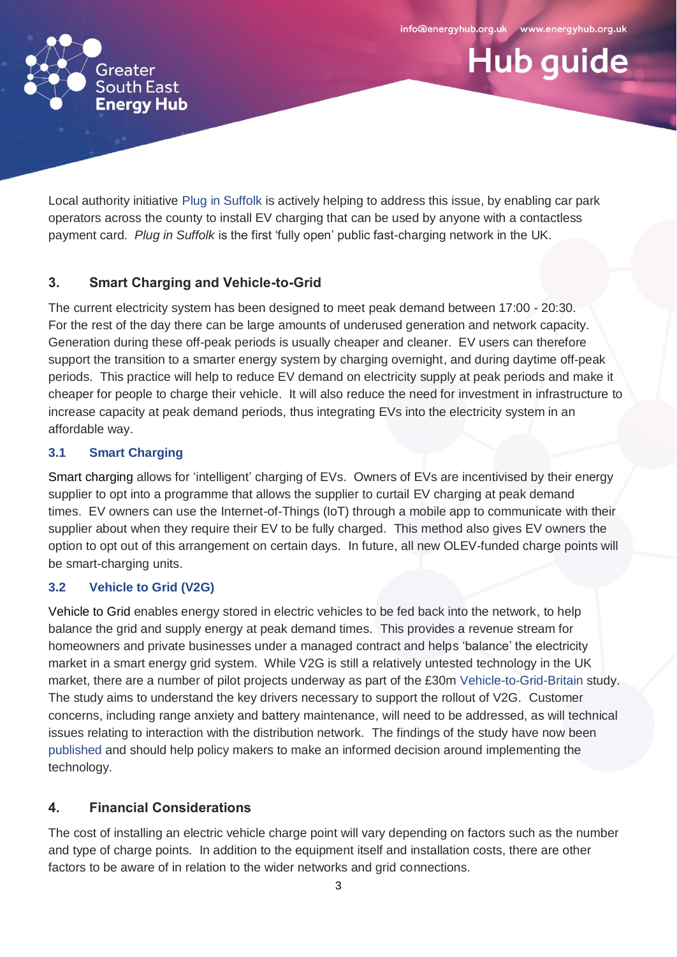**Hub guide** 



Local authority initiative Plug [in Suffolk](https://www.pluginsuffolk.org/) is actively helping to address this issue, by enabling car park operators across the county to install EV charging that can be used by anyone with a contactless payment card. *Plug in Suffolk* is the first 'fully open' public fast-charging network in the UK.

# **3. Smart Charging and Vehicle-to-Grid**

The current electricity system has been designed to meet peak demand between 17:00 - 20:30. For the rest of the day there can be large amounts of underused generation and network capacity. Generation during these off-peak periods is usually cheaper and cleaner. EV users can therefore support the transition to a smarter energy system by charging overnight, and during daytime off-peak periods. This practice will help to reduce EV demand on electricity supply at peak periods and make it cheaper for people to charge their vehicle. It will also reduce the need for investment in infrastructure to increase capacity at peak demand periods, thus integrating EVs into the electricity system in an affordable way.

## **3.1 Smart Charging**

Smart charging allows for 'intelligent' charging of EVs. Owners of EVs are incentivised by their energy supplier to opt into a programme that allows the supplier to curtail EV charging at peak demand times. EV owners can use the Internet-of-Things (IoT) through a mobile app to communicate with their supplier about when they require their EV to be fully charged. This method also gives EV owners the option to opt out of this arrangement on certain days. In future, all new OLEV-funded charge points will be smart-charging units.

# **3.2 Vehicle to Grid (V2G)**

Vehicle to Grid enables energy stored in electric vehicles to be fed back into the network, to help balance the grid and supply energy at peak demand times. This provides a revenue stream for homeowners and private businesses under a managed contract and helps 'balance' the electricity market in a smart energy grid system. While V2G is still a relatively untested technology in the UK market, there are a number of pilot projects underway as part of the £30m [Vehicle-to-Grid-Britain](https://es.catapult.org.uk/impact/projects/vehicle-to-grid-britain/) study. The study aims to understand the key drivers necessary to support the rollout of V2G. Customer concerns, including range anxiety and battery maintenance, will need to be addressed, as will technical issues relating to interaction with the distribution network. The findings of the study have now been [published](https://es.catapult.org.uk/case-studies/vehicle-to-grid-britain/) and should help policy makers to make an informed decision around implementing the technology.

# **4. Financial Considerations**

The cost of installing an electric vehicle charge point will vary depending on factors such as the number and type of charge points. In addition to the equipment itself and installation costs, there are other factors to be aware of in relation to the wider networks and grid connections.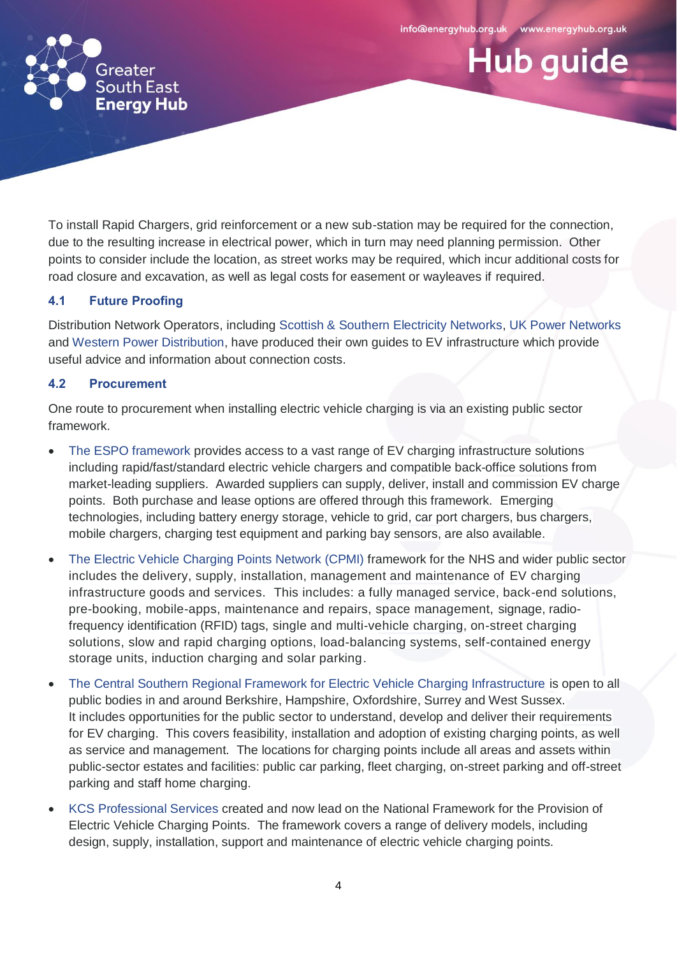**Hub guide** 



To install Rapid Chargers, grid reinforcement or a new sub-station may be required for the connection, due to the resulting increase in electrical power, which in turn may need planning permission. Other points to consider include the location, as street works may be required, which incur additional costs for road closure and excavation, as well as legal costs for easement or wayleaves if required.

#### **4.1 Future Proofing**

Distribution Network Operators, including [Scottish & Southern Electricity Networks,](https://www.google.co.uk/url?sa=t&rct=j&q=&esrc=s&source=web&cd=1&ved=2ahUKEwjw4_Sf47TkAhWTlFwKHd4UDvEQFjAAegQIBBAC&url=https%3A%2F%2Fwww.ssen.co.uk%2FEVguide&usg=AOvVaw17l1eTH4QeAvt-yRrk_qm8) UK [Power Ne](https://www.ukpowernetworks.co.uk/electricity/electric-vehicle-charging-point/electric-vehicle-charging-point-help-and-advice)tworks and [Western Power Distribution,](https://www.westernpower.co.uk/electric-vehicles) have produced their own guides to EV infrastructure which provide useful advice and information about connection costs.

#### **4.2 Procurement**

One route to procurement when installing electric vehicle charging is via an existing public sector framework.

- [The ESPO framework](https://www.espo.org/Frameworks/Fleet-Highways/636-Vehicle-Charging-Infrastructure) provides access to a vast range of EV charging infrastructure solutions including rapid/fast/standard electric vehicle chargers and compatible back-office solutions from market-leading suppliers. Awarded suppliers can supply, deliver, install and commission EV charge points. Both purchase and lease options are offered through this framework. Emerging technologies, including battery energy storage, vehicle to grid, car port chargers, bus chargers, mobile chargers, charging test equipment and parking bay sensors, are also available.
- [The Electric Vehicle Charging Points](https://www.sbs.nhs.uk/fas-electric-vehicle-charging-points) Network (CPMI) framework for the NHS and wider public sector includes the delivery, supply, installation, management and maintenance of EV charging infrastructure goods and services. This includes: a fully managed service, back-end solutions, pre-booking, mobile-apps, maintenance and repairs, space management, signage, radiofrequency identification (RFID) tags, single and multi-vehicle charging, on-street charging solutions, slow and rapid charging options, load-balancing systems, self-contained energy storage units, induction charging and solar parking.
- [The Central Southern Regional Framework for Electric Vehicle Charging Infrastructure](http://documents.hants.gov.uk/ccbs/EVFrameworkCustomerAccessAgreement.pdf) is open to all public bodies in and around Berkshire, Hampshire, Oxfordshire, Surrey and West Sussex. It includes opportunities for the public sector to understand, develop and deliver their requirements for EV charging. This covers feasibility, installation and adoption of existing charging points, as well as service and management. The locations for charging points include all areas and assets within public-sector estates and facilities: public car parking, fleet charging, on-street parking and off-street parking and staff home charging.
- [KCS Professional Services](https://www.kcs4ps.co.uk/electric-vehicle-charging-points) created and now lead on the National Framework for the Provision of Electric Vehicle Charging Points. The framework covers a range of delivery models, including design, supply, installation, support and maintenance of electric vehicle charging points.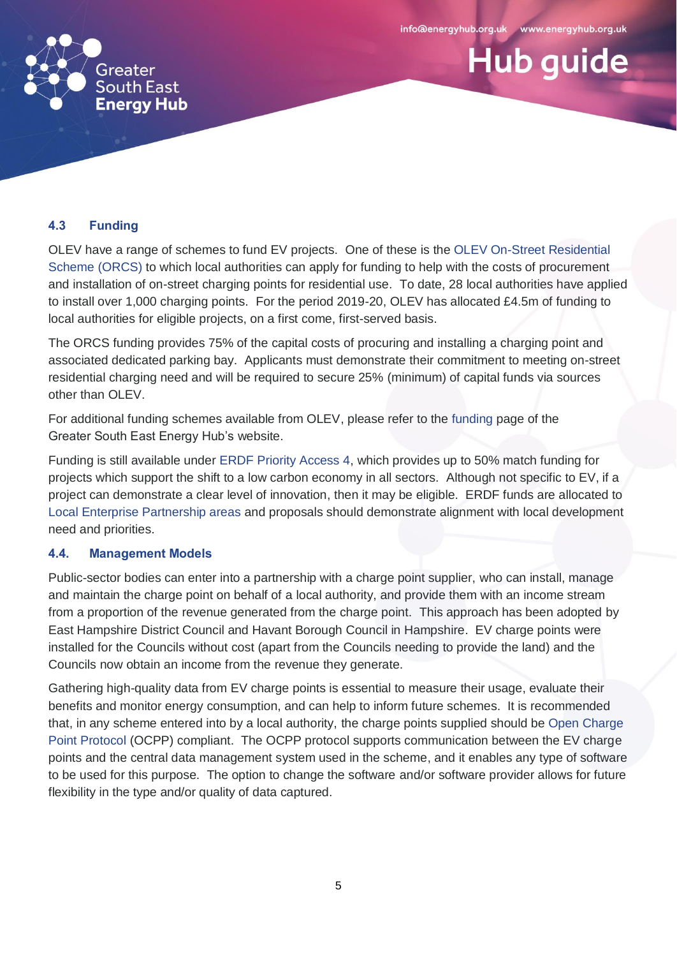



#### **4.3 Funding**

OLEV have a range of schemes to fund EV projects. One of these is the [OLEV On-Street Residential](https://www.gov.uk/government/publications/grants-for-local-authorities-to-provide-residential-on-street-chargepoints)  [Scheme \(ORCS\)](https://www.gov.uk/government/publications/grants-for-local-authorities-to-provide-residential-on-street-chargepoints) to which local authorities can apply for funding to help with the costs of procurement and installation of on-street charging points for residential use. To date, 28 local authorities have applied to install over 1,000 charging points. For the period 2019-20, OLEV has allocated £4.5m of funding to local authorities for eligible projects, on a first come, first-served basis.

The ORCS funding provides 75% of the capital costs of procuring and installing a charging point and associated dedicated parking bay. Applicants must demonstrate their commitment to meeting on-street residential charging need and will be required to secure 25% (minimum) of capital funds via sources other than OLEV.

For additional funding schemes available from OLEV, please refer to the [funding](https://www.energyhub.org.uk/funding-and-investment/funding/) page of the Greater South East Energy Hub's [website.](https://www.energyhub.org.uk/funding-and-investment/funding/)

Funding is still available under [ERDF Priority Access 4,](https://assets.publishing.service.gov.uk/government/uploads/system/uploads/attachment_data/file/738898/ESIF-GN-2-009_ERDF_Priority_Axis_4_Guidance_v5.pdf) which provides up to 50% match funding for projects which support the shift to a low carbon economy in all sectors. Although not specific to EV, if a project can demonstrate a clear level of innovation, then it may be eligible. ERDF funds are allocated to [Local Enterprise Partnership areas](https://www.gov.uk/government/publications/local-enterprise-partnerships-map) and proposals should demonstrate alignment with local development need and priorities.

## **4.4. Management Models**

Public-sector bodies can enter into a partnership with a charge point supplier, who can install, manage and maintain the charge point on behalf of a local authority, and provide them with an income stream from a proportion of the revenue generated from the charge point. This approach has been adopted by East Hampshire District Council and Havant Borough Council in Hampshire. EV charge points were installed for the Councils without cost (apart from the Councils needing to provide the land) and the Councils now obtain an income from the revenue they generate.

Gathering high-quality data from EV charge points is essential to measure their usage, evaluate their benefits and monitor energy consumption, and can help to inform future schemes. It is recommended that, in any scheme entered into by a local authority, the charge points supplied should be [Open Charge](https://www.openchargealliance.org/protocols/ocpp-20/)  [Point Protocol](https://www.openchargealliance.org/protocols/ocpp-20/) (OCPP) compliant. The OCPP protocol supports communication between the EV charge points and the central data management system used in the scheme, and it enables any type of software to be used for this purpose. The option to change the software and/or software provider allows for future flexibility in the type and/or quality of data captured.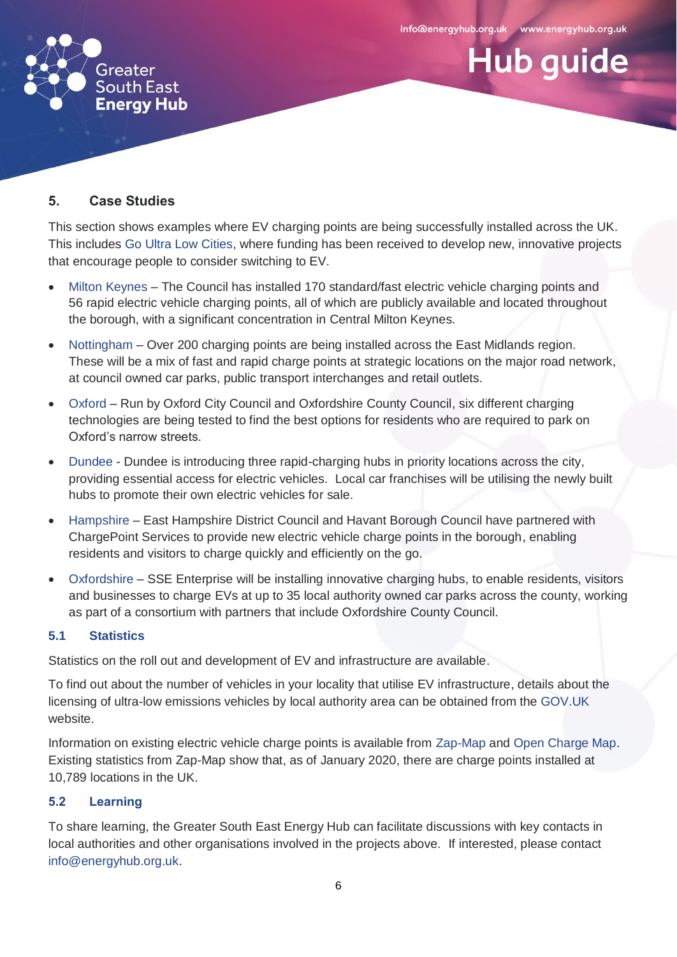**Hub guide** 



# **5. Case Studies**

This section shows examples where EV charging points are being successfully installed across the UK. This includes [Go Ultra Low Cities,](https://www.goultralow.com/news/consumer/go-ultra-low-cities-winners-announced/) where funding has been received to develop new, innovative projects that encourage people to consider switching to EV.

- [Milton Keynes](https://www.milton-keynes.gov.uk/highways-and-transport-hub/smarter-choices/electric-vehicle-charge-points) The Council has installed 170 standard/fast electric vehicle charging points and 56 rapid electric vehicle charging points, all of which are publicly available and located throughout the borough, with a significant concentration in Central Milton Keynes.
- [Nottingham](https://www.transportnottingham.com/projects/charge-point-project/) Over 200 charging points are being installed across the East Midlands region. These will be a mix of fast and rapid charge points at strategic locations on the major road network, at council owned car parks, public transport interchanges and retail outlets.
- [Oxford](https://www.goultralowoxford.org/info/6/project) Run by Oxford City Council and Oxfordshire County Council, six different charging technologies are being tested to find the best options for residents who are required to park on Oxford's narrow streets.
- [Dundee](https://drivedundeeelectric.co.uk/in-dundee/) Dundee is introducing three rapid-charging hubs in priority locations across the city, providing essential access for electric vehicles. Local car franchises will be utilising the newly built hubs to promote their own electric vehicles for sale.
- [Hampshire](https://www.havant.gov.uk/electric-vehicles) East Hampshire District Council and Havant Borough Council have partnered with ChargePoint Services to provide new electric vehicle charge points in the borough, enabling residents and visitors to charge quickly and efficiently on the go.
- [Oxfordshire](https://sse.com/newsandviews/allarticles/2019/07/sse-enterprise-wins-government-funding-to-pilot-oxfordshire-ev-charging-hubs/) SSE Enterprise will be installing innovative charging hubs, to enable residents, visitors and businesses to charge EVs at up to 35 local authority owned car parks across the county, working as part of a consortium with partners that include Oxfordshire County Council.

## **5.1 Statistics**

Statistics on the roll out and development of EV and infrastructure are available.

To find out about the number of vehicles in your locality that utilise EV infrastructure, details about the licensing of ultra-low emissions vehicles by local authority area can be obtained from the [GOV.UK](https://www.gov.uk/government/statistical-data-sets/all-vehicles-veh01) website.

Information on existing electric vehicle charge points is available from [Zap-Map](https://www.zap-map.com/live/) and [Open Charge Map.](https://openchargemap.org/site/poi) Existing statistics from [Zap-Map](https://www.zap-map.com/statistics/) show that, as of January 2020, there are charge points installed at 10,789 locations in the UK.

## **5.2 Learning**

To share learning, the Greater South East Energy Hub can facilitate discussions with key contacts in local authorities and other organisations involved in the projects above. If interested, please contact [info@energyhub.org.uk.](mailto:info@energyhub.org.uk)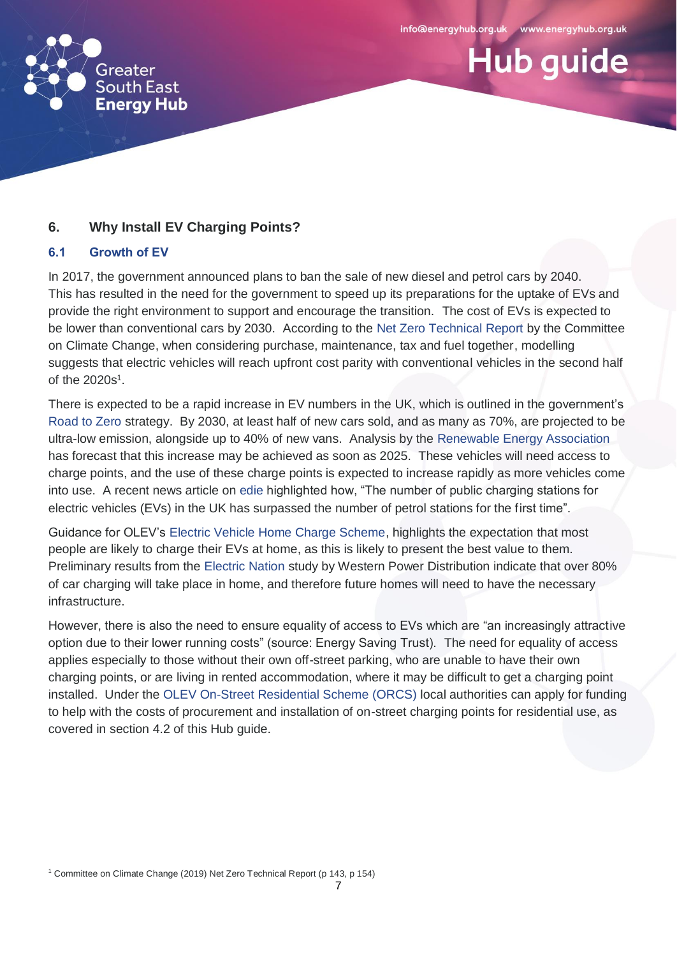



# **6. Why Install EV Charging Points?**

#### **6.1 Growth of EV**

In 2017, the government announced plans to ban the sale of new diesel and petrol cars by 2040. This has resulted in the need for the government to speed up its preparations for the uptake of EVs and provide the right environment to support and encourage the transition. The cost of EVs is expected to be lower than conventional cars by 2030. According to the [Net Zero Technical Report](https://www.theccc.org.uk/publication/net-zero-technical-report/) by the Committee on Climate Change, when considering purchase, maintenance, tax and fuel together, modelling suggests that electric vehicles will reach upfront cost parity with conventional vehicles in the second half of the 2020s<sup>1</sup>.

There is expected to be a rapid increase in EV numbers in the UK, which is outlined in the government's [Road to Zero](https://assets.publishing.service.gov.uk/government/uploads/system/uploads/attachment_data/file/739460/road-to-zero.pdf) strategy. By 2030, at least half of new cars sold, and as many as 70%, are projected to be ultra-low emission, alongside up to 40% of new vans. [Analysis by the Renewable Energy Association](http://www.r-e-a.net/upload/rea_ev_position_paper_september_2017_db_final_final.pdf) has forecast that this increase may be achieved as soon as 2025. These vehicles will need access to charge points, and the use of these charge points is expected to increase rapidly as more vehicles come into use. A recent news article on [edie](https://www.edie.net/news/8/Public-EV-charge-points-outnumber-petrol-stations-in-the-UK/) highlighted how, "The number of public charging stations for electric vehicles (EVs) in the UK has surpassed the number of petrol stations for the first time".

Guidance for OLEV's [Electric Vehicle Home Charge Scheme,](https://www.gov.uk/government/publications/customer-guidance-electric-vehicle-homecharge-scheme) highlights the expectation that most people are likely to charge their EVs at home, as this is likely to present the best value to them. Preliminary results from the [Electric Nation](http://www.electricnation.org.uk/wp-content/uploads/2018/10/Electric-Nation-What-weve-learnt-so-far-Oct18.pdf) study by Western Power Distribution indicate that over 80% of car charging will take place in home, and therefore future homes will need to have the necessary infrastructure.

However, there is also the need to ensure equality of access to EVs which are "an increasingly attractive option due to their lower running costs" (source: Energy Saving Trust). The need for equality of access applies especially to those without their own off-street parking, who are unable to have their own charging points, or are living in rented accommodation, where it may be difficult to get a charging point installed. Under the [OLEV On-Street Residential Scheme \(ORCS\)](https://www.gov.uk/government/publications/grants-for-local-authorities-to-provide-residential-on-street-chargepoints) local authorities can apply for funding to help with the costs of procurement and installation of on-street charging points for residential use, as covered in section 4.2 of this Hub guide.

<sup>1</sup> Committee on Climate Change (2019) Net Zero Technical Report (p 143, p 154)